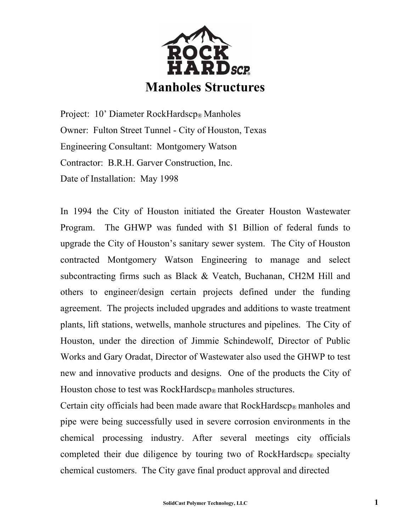

Project: 10' Diameter RockHardscp® Manholes Owner: Fulton Street Tunnel - City of Houston, Texas Engineering Consultant: Montgomery Watson Contractor: B.R.H. Garver Construction, Inc. Date of Installation: May 1998

In 1994 the City of Houston initiated the Greater Houston Wastewater Program. The GHWP was funded with \$1 Billion of federal funds to upgrade the City of Houston's sanitary sewer system. The City of Houston contracted Montgomery Watson Engineering to manage and select subcontracting firms such as Black & Veatch, Buchanan, CH2M Hill and others to engineer/design certain projects defined under the funding agreement. The projects included upgrades and additions to waste treatment plants, lift stations, wetwells, manhole structures and pipelines. The City of Houston, under the direction of Jimmie Schindewolf, Director of Public Works and Gary Oradat, Director of Wastewater also used the GHWP to test new and innovative products and designs. One of the products the City of Houston chose to test was RockHardscp<sup>®</sup> manholes structures.

Certain city officials had been made aware that RockHardscp® manholes and pipe were being successfully used in severe corrosion environments in the chemical processing industry. After several meetings city officials completed their due diligence by touring two of RockHardscp<sup>®</sup> specialty chemical customers. The City gave final product approval and directed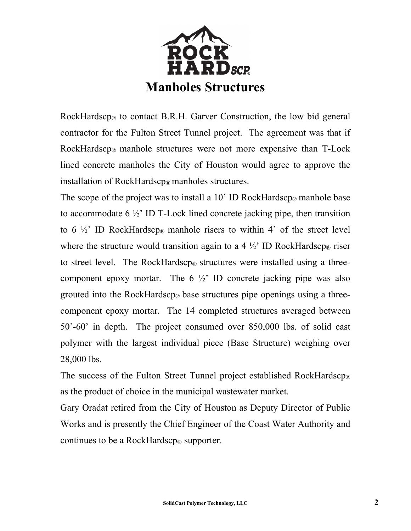

RockHardscp® to contact B.R.H. Garver Construction, the low bid general contractor for the Fulton Street Tunnel project. The agreement was that if RockHardscp® manhole structures were not more expensive than T-Lock lined concrete manholes the City of Houston would agree to approve the installation of RockHardscp® manholes structures.

The scope of the project was to install a 10' ID RockHardscp® manhole base to accommodate  $6\frac{1}{2}$ . ID T-Lock lined concrete jacking pipe, then transition to 6  $\frac{1}{2}$ . ID RockHardscp<sub>®</sub> manhole risers to within 4' of the street level where the structure would transition again to a 4  $\frac{1}{2}$ . ID RockHardscp<sup>®</sup> riser to street level. The RockHardscp® structures were installed using a threecomponent epoxy mortar. The  $6\frac{1}{2}$  ID concrete jacking pipe was also grouted into the RockHardscp<sup>®</sup> base structures pipe openings using a threecomponent epoxy mortar. The 14 completed structures averaged between 50'-60' in depth. The project consumed over 850,000 lbs. of solid cast polymer with the largest individual piece (Base Structure) weighing over 28,000 lbs.

The success of the Fulton Street Tunnel project established RockHardscp<sup>®</sup> as the product of choice in the municipal wastewater market.

Gary Oradat retired from the City of Houston as Deputy Director of Public Works and is presently the Chief Engineer of the Coast Water Authority and continues to be a RockHardscp® supporter.